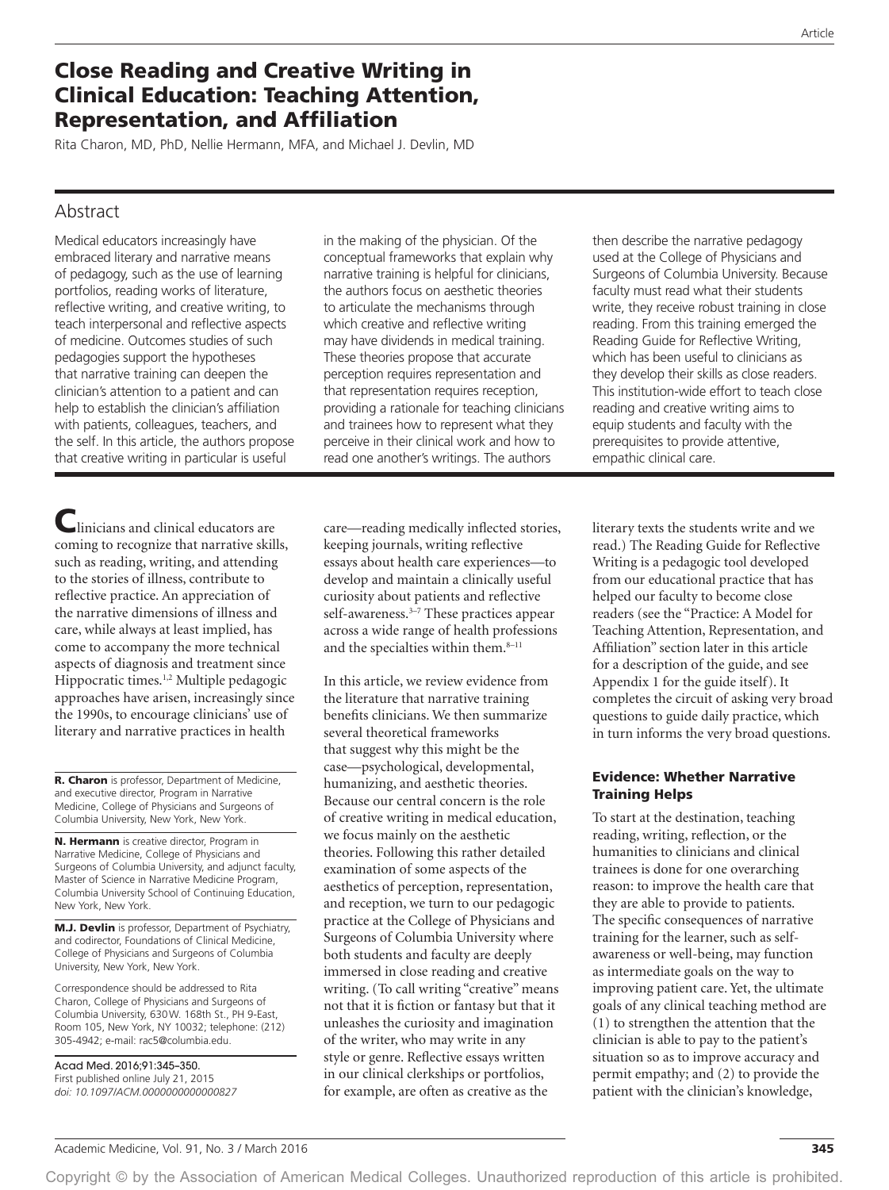# Close Reading and Creative Writing in Clinical Education: Teaching Attention, Representation, and Affiliation

Rita Charon, MD, PhD, Nellie Hermann, MFA, and Michael J. Devlin, MD

# Abstract

Medical educators increasingly have embraced literary and narrative means of pedagogy, such as the use of learning portfolios, reading works of literature, reflective writing, and creative writing, to teach interpersonal and reflective aspects of medicine. Outcomes studies of such pedagogies support the hypotheses that narrative training can deepen the clinician's attention to a patient and can help to establish the clinician's affiliation with patients, colleagues, teachers, and the self. In this article, the authors propose that creative writing in particular is useful

Clinicians and clinical educators are coming to recognize that narrative skills, such as reading, writing, and attending to the stories of illness, contribute to reflective practice. An appreciation of the narrative dimensions of illness and care, while always at least implied, has come to accompany the more technical aspects of diagnosis and treatment since Hippocratic times.1,2 Multiple pedagogic approaches have arisen, increasingly since the 1990s, to encourage clinicians' use of literary and narrative practices in health

R. Charon is professor, Department of Medicine, and executive director, Program in Narrative Medicine, College of Physicians and Surgeons of Columbia University, New York, New York.

**N. Hermann** is creative director, Program in Narrative Medicine, College of Physicians and Surgeons of Columbia University, and adjunct faculty, Master of Science in Narrative Medicine Program, Columbia University School of Continuing Education, New York, New York.

M.J. Devlin is professor, Department of Psychiatry, and codirector, Foundations of Clinical Medicine, College of Physicians and Surgeons of Columbia University, New York, New York.

Correspondence should be addressed to Rita Charon, College of Physicians and Surgeons of Columbia University, 630W. 168th St., PH 9-East, Room 105, New York, NY 10032; telephone: (212) 305-4942; e-mail: [rac5@columbia.edu.](mailto:rac5@columbia.edu)

Acad Med. 2016;91:345–350. First published online July 21, 2015 *doi: 10.1097/ACM.0000000000000827* in the making of the physician. Of the conceptual frameworks that explain why narrative training is helpful for clinicians, the authors focus on aesthetic theories to articulate the mechanisms through which creative and reflective writing may have dividends in medical training. These theories propose that accurate perception requires representation and that representation requires reception, providing a rationale for teaching clinicians and trainees how to represent what they perceive in their clinical work and how to read one another's writings. The authors

care—reading medically inflected stories, keeping journals, writing reflective essays about health care experiences—to develop and maintain a clinically useful curiosity about patients and reflective self-awareness.<sup>3–7</sup> These practices appear across a wide range of health professions and the specialties within them.<sup>8-11</sup>

In this article, we review evidence from the literature that narrative training benefits clinicians. We then summarize several theoretical frameworks that suggest why this might be the case—psychological, developmental, humanizing, and aesthetic theories. Because our central concern is the role of creative writing in medical education, we focus mainly on the aesthetic theories. Following this rather detailed examination of some aspects of the aesthetics of perception, representation, and reception, we turn to our pedagogic practice at the College of Physicians and Surgeons of Columbia University where both students and faculty are deeply immersed in close reading and creative writing. (To call writing "creative" means not that it is fiction or fantasy but that it unleashes the curiosity and imagination of the writer, who may write in any style or genre. Reflective essays written in our clinical clerkships or portfolios, for example, are often as creative as the

then describe the narrative pedagogy used at the College of Physicians and Surgeons of Columbia University. Because faculty must read what their students write, they receive robust training in close reading. From this training emerged the Reading Guide for Reflective Writing, which has been useful to clinicians as they develop their skills as close readers. This institution-wide effort to teach close reading and creative writing aims to equip students and faculty with the prerequisites to provide attentive, empathic clinical care.

literary texts the students write and we read.) The Reading Guide for Reflective Writing is a pedagogic tool developed from our educational practice that has helped our faculty to become close readers (see the "Practice: A Model for Teaching Attention, Representation, and Affiliation" section later in this article for a description of the guide, and see Appendix 1 for the guide itself). It completes the circuit of asking very broad questions to guide daily practice, which in turn informs the very broad questions.

## Evidence: Whether Narrative Training Helps

To start at the destination, teaching reading, writing, reflection, or the humanities to clinicians and clinical trainees is done for one overarching reason: to improve the health care that they are able to provide to patients. The specific consequences of narrative training for the learner, such as selfawareness or well-being, may function as intermediate goals on the way to improving patient care. Yet, the ultimate goals of any clinical teaching method are (1) to strengthen the attention that the clinician is able to pay to the patient's situation so as to improve accuracy and permit empathy; and (2) to provide the patient with the clinician's knowledge,

Copyright © by the Association of American Medical Colleges. Unauthorized reproduction of this article is prohibited.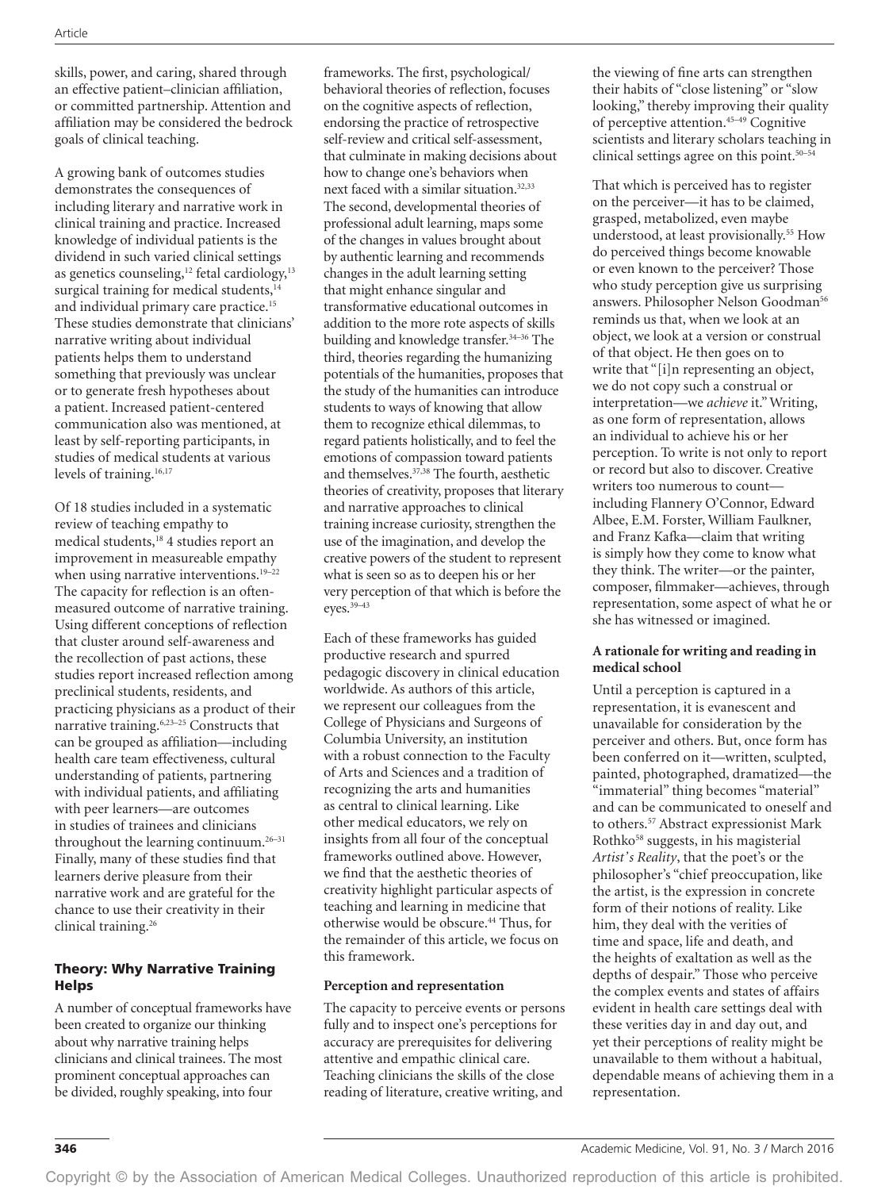skills, power, and caring, shared through an effective patient–clinician affiliation, or committed partnership. Attention and affiliation may be considered the bedrock goals of clinical teaching.

A growing bank of outcomes studies demonstrates the consequences of including literary and narrative work in clinical training and practice. Increased knowledge of individual patients is the dividend in such varied clinical settings as genetics counseling,<sup>12</sup> fetal cardiology,<sup>13</sup> surgical training for medical students,<sup>14</sup> and individual primary care practice.15 These studies demonstrate that clinicians' narrative writing about individual patients helps them to understand something that previously was unclear or to generate fresh hypotheses about a patient. Increased patient-centered communication also was mentioned, at least by self-reporting participants, in studies of medical students at various levels of training.<sup>16,17</sup>

Of 18 studies included in a systematic review of teaching empathy to  $\rm{medical\:,$   $\rm{t}}$  and  $\rm{t}$  and  $\rm{t}$  and  $\rm{t}$ improvement in measureable empathy when using narrative interventions.<sup>19-22</sup> The capacity for reflection is an oftenmeasured outcome of narrative training. Using different conceptions of reflection that cluster around self-awareness and the recollection of past actions, these studies report increased reflection among preclinical students, residents, and practicing physicians as a product of their narrative training.6,23–25 Constructs that can be grouped as affiliation—including health care team effectiveness, cultural understanding of patients, partnering with individual patients, and affiliating with peer learners—are outcomes in studies of trainees and clinicians throughout the learning continuum.<sup>26-31</sup> Finally, many of these studies find that learners derive pleasure from their narrative work and are grateful for the chance to use their creativity in their clinical training.26

# Theory: Why Narrative Training Helps

A number of conceptual frameworks have been created to organize our thinking about why narrative training helps clinicians and clinical trainees. The most prominent conceptual approaches can be divided, roughly speaking, into four

frameworks. The first, psychological/ behavioral theories of reflection, focuses on the cognitive aspects of reflection, endorsing the practice of retrospective self-review and critical self-assessment, that culminate in making decisions about how to change one's behaviors when next faced with a similar situation.<sup>32,33</sup> The second, developmental theories of professional adult learning, maps some of the changes in values brought about by authentic learning and recommends changes in the adult learning setting that might enhance singular and transformative educational outcomes in addition to the more rote aspects of skills building and knowledge transfer.<sup>34-36</sup> The third, theories regarding the humanizing potentials of the humanities, proposes that the study of the humanities can introduce students to ways of knowing that allow them to recognize ethical dilemmas, to regard patients holistically, and to feel the emotions of compassion toward patients and themselves.37,38 The fourth, aesthetic theories of creativity, proposes that literary and narrative approaches to clinical training increase curiosity, strengthen the use of the imagination, and develop the creative powers of the student to represent what is seen so as to deepen his or her very perception of that which is before the eyes.39–43

Each of these frameworks has guided productive research and spurred pedagogic discovery in clinical education worldwide. As authors of this article, we represent our colleagues from the College of Physicians and Surgeons of Columbia University, an institution with a robust connection to the Faculty of Arts and Sciences and a tradition of recognizing the arts and humanities as central to clinical learning. Like other medical educators, we rely on insights from all four of the conceptual frameworks outlined above. However, we find that the aesthetic theories of creativity highlight particular aspects of teaching and learning in medicine that otherwise would be obscure.44 Thus, for the remainder of this article, we focus on this framework.

# **Perception and representation**

The capacity to perceive events or persons fully and to inspect one's perceptions for accuracy are prerequisites for delivering attentive and empathic clinical care. Teaching clinicians the skills of the close reading of literature, creative writing, and

the viewing of fine arts can strengthen their habits of "close listening" or "slow looking," thereby improving their quality of perceptive attention.45–49 Cognitive scientists and literary scholars teaching in clinical settings agree on this point.<sup>50–54</sup>

That which is perceived has to register on the perceiver—it has to be claimed, grasped, metabolized, even maybe understood, at least provisionally.<sup>55</sup> How do perceived things become knowable or even known to the perceiver? Those who study perception give us surprising answers. Philosopher Nelson Goodman<sup>56</sup> reminds us that, when we look at an object, we look at a version or construal of that object. He then goes on to write that "[i]n representing an object, we do not copy such a construal or interpretation—we *achieve* it." Writing, as one form of representation, allows an individual to achieve his or her perception. To write is not only to report or record but also to discover. Creative writers too numerous to count including Flannery O'Connor, Edward Albee, E.M. Forster, William Faulkner, and Franz Kafka—claim that writing is simply how they come to know what they think. The writer—or the painter, composer, filmmaker—achieves, through representation, some aspect of what he or she has witnessed or imagined.

## **A rationale for writing and reading in medical school**

Until a perception is captured in a representation, it is evanescent and unavailable for consideration by the perceiver and others. But, once form has been conferred on it—written, sculpted, painted, photographed, dramatized—the "immaterial" thing becomes "material" and can be communicated to oneself and to others.<sup>57</sup> Abstract expressionist Mark Rothko<sup>58</sup> suggests, in his magisterial *Artist's Reality*, that the poet's or the philosopher's "chief preoccupation, like the artist, is the expression in concrete form of their notions of reality. Like him, they deal with the verities of time and space, life and death, and the heights of exaltation as well as the depths of despair." Those who perceive the complex events and states of affairs evident in health care settings deal with these verities day in and day out, and yet their perceptions of reality might be unavailable to them without a habitual, dependable means of achieving them in a representation.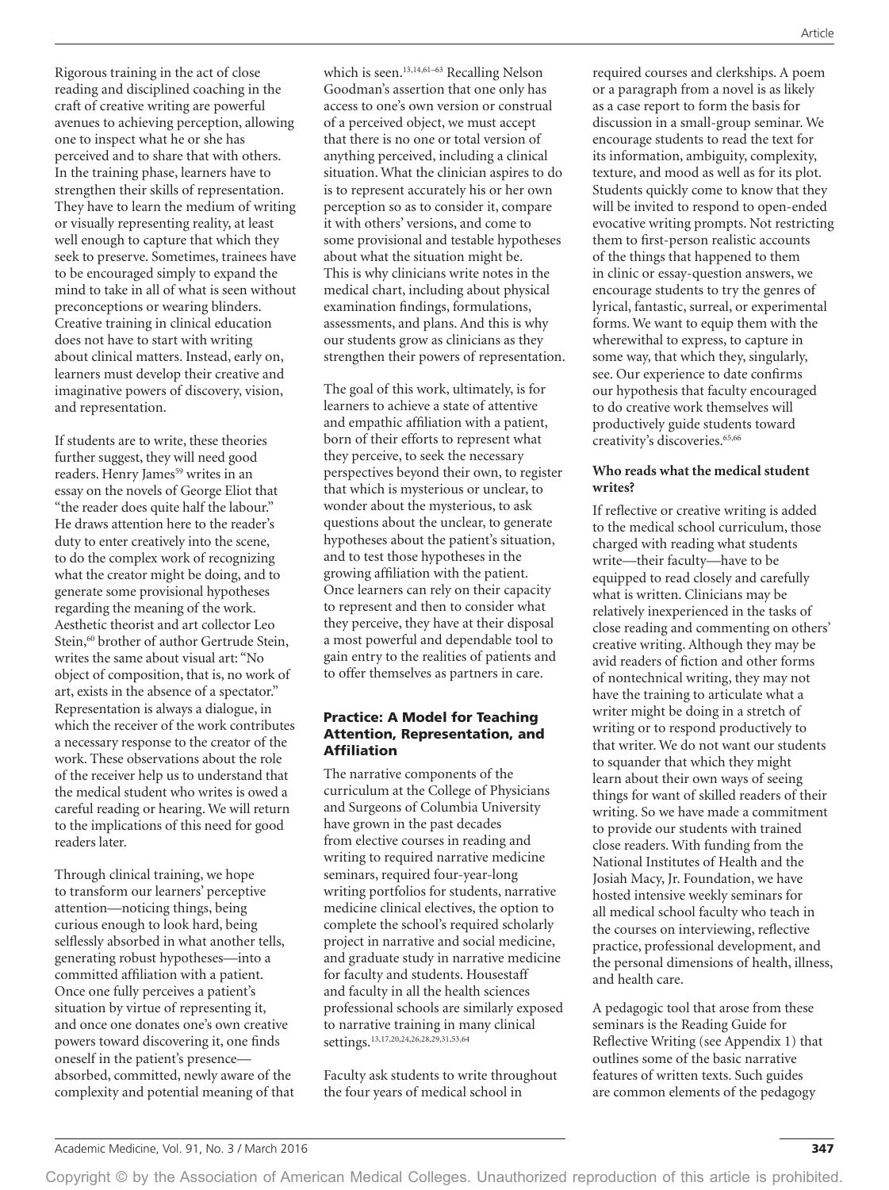Rigorous training in the act of close reading and disciplined coaching in the craft of creative writing are powerful avenues to achieving perception, allowing one to inspect what he or she has perceived and to share that with others. In the training phase, learners have to strengthen their skills of representation. They have to learn the medium of writing or visually representing reality, at least well enough to capture that which they seek to preserve. Sometimes, trainees have to be encouraged simply to expand the mind to take in all of what is seen without preconceptions or wearing blinders. Creative training in clinical education does not have to start with writing about clinical matters. Instead, early on, learners must develop their creative and imaginative powers of discovery, vision, and representation.

If students are to write, these theories further suggest, they will need good readers. Henry James<sup>59</sup> writes in an essay on the novels of George Eliot that "the reader does quite half the labour." He draws attention here to the reader's duty to enter creatively into the scene, to do the complex work of recognizing what the creator might be doing, and to generate some provisional hypotheses regarding the meaning of the work. Aesthetic theorist and art collector Leo Stein,<sup>60</sup> brother of author Gertrude Stein, writes the same about visual art: "No object of composition, that is, no work of art, exists in the absence of a spectator." Representation is always a dialogue, in which the receiver of the work contributes a necessary response to the creator of the work. These observations about the role of the receiver help us to understand that the medical student who writes is owed a careful reading or hearing. We will return to the implications of this need for good readers later.

Through clinical training, we hope to transform our learners' perceptive attention—noticing things, being curious enough to look hard, being selflessly absorbed in what another tells, generating robust hypotheses—into a committed affiliation with a patient. Once one fully perceives a patient's situation by virtue of representing it, and once one donates one's own creative powers toward discovering it, one finds oneself in the patient's presence absorbed, committed, newly aware of the complexity and potential meaning of that which is seen.<sup>13,14,61-63</sup> Recalling Nelson Goodman's assertion that one only has access to one's own version or construal of a perceived object, we must accept that there is no one or total version of anything perceived, including a clinical situation. What the clinician aspires to do is to represent accurately his or her own perception so as to consider it, compare it with others' versions, and come to some provisional and testable hypotheses about what the situation might be. This is why clinicians write notes in the medical chart, including about physical examination findings, formulations, assessments, and plans. And this is why our students grow as clinicians as they strengthen their powers of representation.

The goal of this work, ultimately, is for learners to achieve a state of attentive and empathic affiliation with a patient, born of their efforts to represent what they perceive, to seek the necessary perspectives beyond their own, to register that which is mysterious or unclear, to wonder about the mysterious, to ask questions about the unclear, to generate hypotheses about the patient's situation, and to test those hypotheses in the growing affiliation with the patient. Once learners can rely on their capacity to represent and then to consider what they perceive, they have at their disposal a most powerful and dependable tool to gain entry to the realities of patients and to offer themselves as partners in care.

### Practice: A Model for Teaching Attention, Representation, and Affiliation

The narrative components of the curriculum at the College of Physicians and Surgeons of Columbia University have grown in the past decades from elective courses in reading and writing to required narrative medicine seminars, required four-year-long writing portfolios for students, narrative medicine clinical electives, the option to complete the school's required scholarly project in narrative and social medicine, and graduate study in narrative medicine for faculty and students. Housestaff and faculty in all the health sciences professional schools are similarly exposed to narrative training in many clinical settings.<sup>13,17,20,24,26,28,29,31,53,64</sup>

Faculty ask students to write throughout the four years of medical school in

required courses and clerkships. A poem or a paragraph from a novel is as likely as a case report to form the basis for discussion in a small-group seminar. We encourage students to read the text for its information, ambiguity, complexity, texture, and mood as well as for its plot. Students quickly come to know that they will be invited to respond to open-ended evocative writing prompts. Not restricting them to first-person realistic accounts of the things that happened to them in clinic or essay-question answers, we encourage students to try the genres of lyrical, fantastic, surreal, or experimental forms. We want to equip them with the wherewithal to express, to capture in some way, that which they, singularly, see. Our experience to date confirms our hypothesis that faculty encouraged to do creative work themselves will productively guide students toward creativity's discoveries.<sup>65,66</sup>

### **Who reads what the medical student writes?**

If reflective or creative writing is added to the medical school curriculum, those charged with reading what students write—their faculty—have to be equipped to read closely and carefully what is written. Clinicians may be relatively inexperienced in the tasks of close reading and commenting on others' creative writing. Although they may be avid readers of fiction and other forms of nontechnical writing, they may not have the training to articulate what a writer might be doing in a stretch of writing or to respond productively to that writer. We do not want our students to squander that which they might learn about their own ways of seeing things for want of skilled readers of their writing. So we have made a commitment to provide our students with trained close readers. With funding from the National Institutes of Health and the Josiah Macy, Jr. Foundation, we have hosted intensive weekly seminars for all medical school faculty who teach in the courses on interviewing, reflective practice, professional development, and the personal dimensions of health, illness, and health care.

A pedagogic tool that arose from these seminars is the Reading Guide for Reflective Writing (see Appendix 1) that outlines some of the basic narrative features of written texts. Such guides are common elements of the pedagogy

Copyright © by the Association of American Medical Colleges. Unauthorized reproduction of this article is prohibited.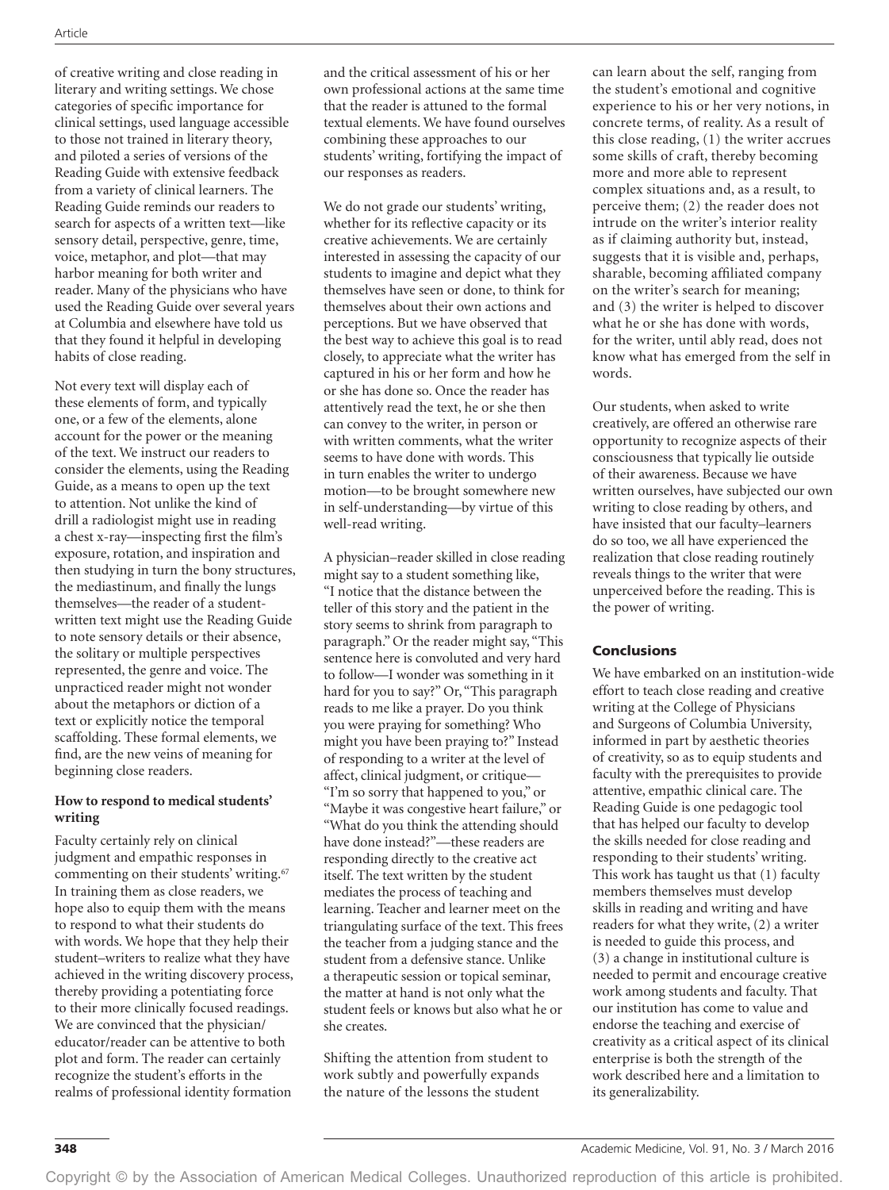of creative writing and close reading in literary and writing settings. We chose categories of specific importance for clinical settings, used language accessible to those not trained in literary theory, and piloted a series of versions of the Reading Guide with extensive feedback from a variety of clinical learners. The Reading Guide reminds our readers to search for aspects of a written text—like sensory detail, perspective, genre, time, voice, metaphor, and plot—that may harbor meaning for both writer and reader. Many of the physicians who have used the Reading Guide over several years at Columbia and elsewhere have told us that they found it helpful in developing habits of close reading.

Not every text will display each of these elements of form, and typically one, or a few of the elements, alone account for the power or the meaning of the text. We instruct our readers to consider the elements, using the Reading Guide, as a means to open up the text to attention. Not unlike the kind of drill a radiologist might use in reading a chest x-ray—inspecting first the film's exposure, rotation, and inspiration and then studying in turn the bony structures, the mediastinum, and finally the lungs themselves—the reader of a studentwritten text might use the Reading Guide to note sensory details or their absence, the solitary or multiple perspectives represented, the genre and voice. The unpracticed reader might not wonder about the metaphors or diction of a text or explicitly notice the temporal scaffolding. These formal elements, we find, are the new veins of meaning for beginning close readers.

## **How to respond to medical students' writing**

Faculty certainly rely on clinical judgment and empathic responses in commenting on their students' writing.<sup>67</sup> In training them as close readers, we hope also to equip them with the means to respond to what their students do with words. We hope that they help their student–writers to realize what they have achieved in the writing discovery process, thereby providing a potentiating force to their more clinically focused readings. We are convinced that the physician/ educator/reader can be attentive to both plot and form. The reader can certainly recognize the student's efforts in the realms of professional identity formation

and the critical assessment of his or her own professional actions at the same time that the reader is attuned to the formal textual elements. We have found ourselves combining these approaches to our students' writing, fortifying the impact of our responses as readers.

We do not grade our students' writing, whether for its reflective capacity or its creative achievements. We are certainly interested in assessing the capacity of our students to imagine and depict what they themselves have seen or done, to think for themselves about their own actions and perceptions. But we have observed that the best way to achieve this goal is to read closely, to appreciate what the writer has captured in his or her form and how he or she has done so. Once the reader has attentively read the text, he or she then can convey to the writer, in person or with written comments, what the writer seems to have done with words. This in turn enables the writer to undergo motion—to be brought somewhere new in self-understanding—by virtue of this well-read writing.

A physician–reader skilled in close reading might say to a student something like, "I notice that the distance between the teller of this story and the patient in the story seems to shrink from paragraph to paragraph." Or the reader might say, "This sentence here is convoluted and very hard to follow—I wonder was something in it hard for you to say?" Or, "This paragraph reads to me like a prayer. Do you think you were praying for something? Who might you have been praying to?" Instead of responding to a writer at the level of affect, clinical judgment, or critique— "I'm so sorry that happened to you," or "Maybe it was congestive heart failure," or "What do you think the attending should have done instead?"—these readers are responding directly to the creative act itself. The text written by the student mediates the process of teaching and learning. Teacher and learner meet on the triangulating surface of the text. This frees the teacher from a judging stance and the student from a defensive stance. Unlike a therapeutic session or topical seminar, the matter at hand is not only what the student feels or knows but also what he or she creates.

Shifting the attention from student to work subtly and powerfully expands the nature of the lessons the student

can learn about the self, ranging from the student's emotional and cognitive experience to his or her very notions, in concrete terms, of reality. As a result of this close reading, (1) the writer accrues some skills of craft, thereby becoming more and more able to represent complex situations and, as a result, to perceive them; (2) the reader does not intrude on the writer's interior reality as if claiming authority but, instead, suggests that it is visible and, perhaps, sharable, becoming affiliated company on the writer's search for meaning; and (3) the writer is helped to discover what he or she has done with words, for the writer, until ably read, does not know what has emerged from the self in words.

Our students, when asked to write creatively, are offered an otherwise rare opportunity to recognize aspects of their consciousness that typically lie outside of their awareness. Because we have written ourselves, have subjected our own writing to close reading by others, and have insisted that our faculty–learners do so too, we all have experienced the realization that close reading routinely reveals things to the writer that were unperceived before the reading. This is the power of writing.

# Conclusions

We have embarked on an institution-wide effort to teach close reading and creative writing at the College of Physicians and Surgeons of Columbia University, informed in part by aesthetic theories of creativity, so as to equip students and faculty with the prerequisites to provide attentive, empathic clinical care. The Reading Guide is one pedagogic tool that has helped our faculty to develop the skills needed for close reading and responding to their students' writing. This work has taught us that (1) faculty members themselves must develop skills in reading and writing and have readers for what they write, (2) a writer is needed to guide this process, and (3) a change in institutional culture is needed to permit and encourage creative work among students and faculty. That our institution has come to value and endorse the teaching and exercise of creativity as a critical aspect of its clinical enterprise is both the strength of the work described here and a limitation to its generalizability.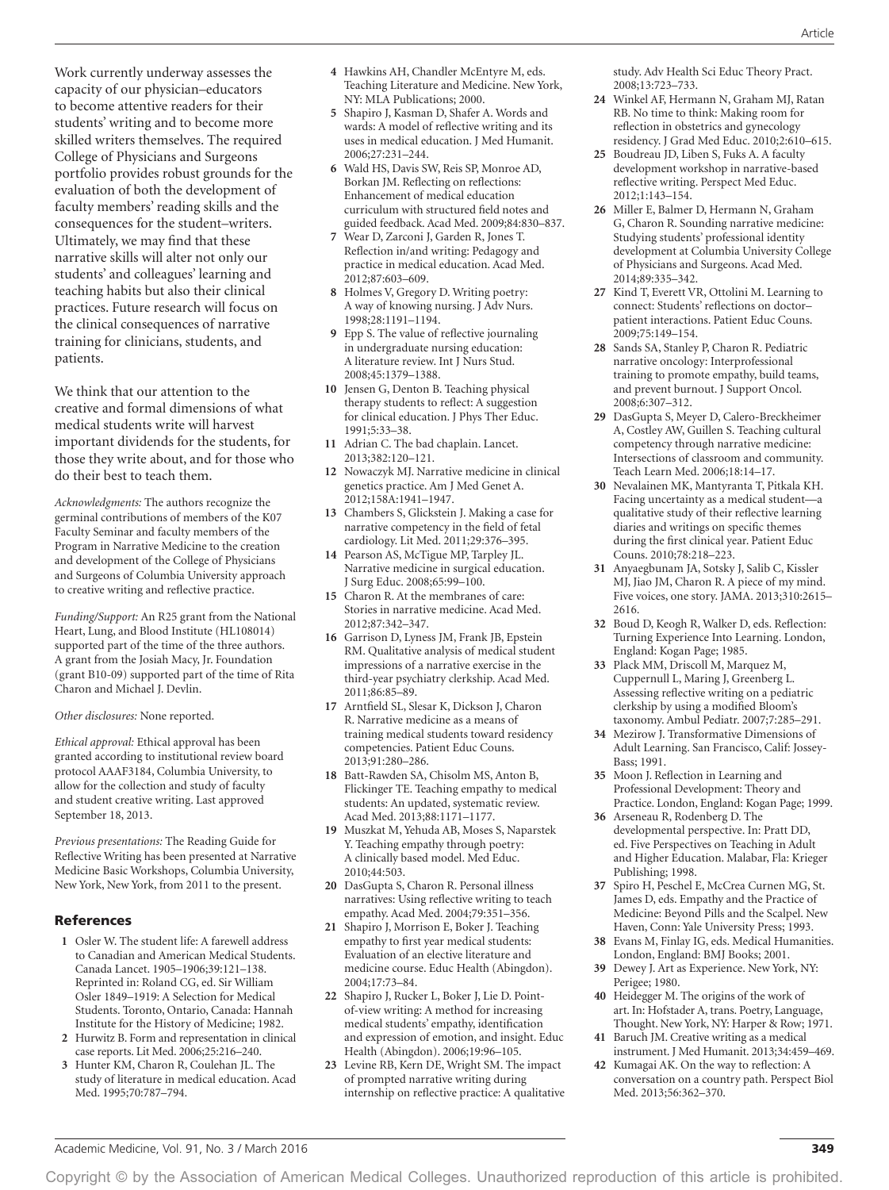Work currently underway assesses the capacity of our physician–educators to become attentive readers for their students' writing and to become more skilled writers themselves. The required College of Physicians and Surgeons portfolio provides robust grounds for the evaluation of both the development of faculty members' reading skills and the consequences for the student–writers. Ultimately, we may find that these narrative skills will alter not only our students' and colleagues' learning and teaching habits but also their clinical practices. Future research will focus on the clinical consequences of narrative training for clinicians, students, and patients.

We think that our attention to the creative and formal dimensions of what medical students write will harvest important dividends for the students, for those they write about, and for those who do their best to teach them.

*Acknowledgments:* The authors recognize the germinal contributions of members of the K07 Faculty Seminar and faculty members of the Program in Narrative Medicine to the creation and development of the College of Physicians and Surgeons of Columbia University approach to creative writing and reflective practice.

*Funding/Support:* An R25 grant from the National Heart, Lung, and Blood Institute (HL108014) supported part of the time of the three authors. A grant from the Josiah Macy, Jr. Foundation (grant B10-09) supported part of the time of Rita Charon and Michael J. Devlin.

#### *Other disclosures:* None reported.

*Ethical approval:* Ethical approval has been granted according to institutional review board protocol AAAF3184, Columbia University, to allow for the collection and study of faculty and student creative writing. Last approved September 18, 2013.

*Previous presentations:* The Reading Guide for Reflective Writing has been presented at Narrative Medicine Basic Workshops, Columbia University, New York, New York, from 2011 to the present.

#### References

- **1** Osler W. The student life: A farewell address to Canadian and American Medical Students. Canada Lancet. 1905–1906;39:121–138. Reprinted in: Roland CG, ed. Sir William Osler 1849–1919: A Selection for Medical Students. Toronto, Ontario, Canada: Hannah Institute for the History of Medicine; 1982.
- **2** Hurwitz B. Form and representation in clinical case reports. Lit Med. 2006;25:216–240.
- **3** Hunter KM, Charon R, Coulehan JL. The study of literature in medical education. Acad Med. 1995;70:787–794.
- **4** Hawkins AH, Chandler McEntyre M, eds. Teaching Literature and Medicine. New York, NY: MLA Publications; 2000.
- **5** Shapiro J, Kasman D, Shafer A. Words and wards: A model of reflective writing and its uses in medical education. J Med Humanit. 2006;27:231–244.
- **6** Wald HS, Davis SW, Reis SP, Monroe AD, Borkan JM. Reflecting on reflections: Enhancement of medical education curriculum with structured field notes and guided feedback. Acad Med. 2009;84:830–837.
- **7** Wear D, Zarconi J, Garden R, Jones T. Reflection in/and writing: Pedagogy and practice in medical education. Acad Med. 2012;87:603–609.
- **8** Holmes V, Gregory D. Writing poetry: A way of knowing nursing. J Adv Nurs. 1998;28:1191–1194.
- **9** Epp S. The value of reflective journaling in undergraduate nursing education: A literature review. Int J Nurs Stud. 2008;45:1379–1388.
- **10** Jensen G, Denton B. Teaching physical therapy students to reflect: A suggestion for clinical education. J Phys Ther Educ. 1991;5:33–38.
- **11** Adrian C. The bad chaplain. Lancet. 2013;382:120–121.
- **12** Nowaczyk MJ. Narrative medicine in clinical genetics practice. Am J Med Genet A. 2012;158A:1941–1947.
- **13** Chambers S, Glickstein J. Making a case for narrative competency in the field of fetal cardiology. Lit Med. 2011;29:376–395.
- **14** Pearson AS, McTigue MP, Tarpley JL. Narrative medicine in surgical education. J Surg Educ. 2008;65:99–100.
- **15** Charon R. At the membranes of care: Stories in narrative medicine. Acad Med. 2012;87:342–347.
- **16** Garrison D, Lyness JM, Frank JB, Epstein RM. Qualitative analysis of medical student impressions of a narrative exercise in the third-year psychiatry clerkship. Acad Med. 2011;86:85–89.
- **17** Arntfield SL, Slesar K, Dickson J, Charon R. Narrative medicine as a means of training medical students toward residency competencies. Patient Educ Couns. 2013;91:280–286.
- **18** Batt-Rawden SA, Chisolm MS, Anton B, Flickinger TE. Teaching empathy to medical students: An updated, systematic review. Acad Med. 2013;88:1171–1177.
- **19** Muszkat M, Yehuda AB, Moses S, Naparstek Y. Teaching empathy through poetry: A clinically based model. Med Educ. 2010;44:503.
- **20** DasGupta S, Charon R. Personal illness narratives: Using reflective writing to teach empathy. Acad Med. 2004;79:351–356.
- **21** Shapiro J, Morrison E, Boker J. Teaching empathy to first year medical students: Evaluation of an elective literature and medicine course. Educ Health (Abingdon). 2004;17:73–84.
- **22** Shapiro J, Rucker L, Boker J, Lie D. Pointof-view writing: A method for increasing medical students' empathy, identification and expression of emotion, and insight. Educ Health (Abingdon). 2006;19:96–105.
- **23** Levine RB, Kern DE, Wright SM. The impact of prompted narrative writing during internship on reflective practice: A qualitative

study. Adv Health Sci Educ Theory Pract. 2008;13:723–733.

- **24** Winkel AF, Hermann N, Graham MJ, Ratan RB. No time to think: Making room for reflection in obstetrics and gynecology residency. J Grad Med Educ. 2010;2:610–615.
- **25** Boudreau JD, Liben S, Fuks A. A faculty development workshop in narrative-based reflective writing. Perspect Med Educ. 2012;1:143–154.
- **26** Miller E, Balmer D, Hermann N, Graham G, Charon R. Sounding narrative medicine: Studying students' professional identity development at Columbia University College of Physicians and Surgeons. Acad Med. 2014;89:335–342.
- **27** Kind T, Everett VR, Ottolini M. Learning to connect: Students' reflections on doctor– patient interactions. Patient Educ Couns. 2009;75:149–154.
- **28** Sands SA, Stanley P, Charon R. Pediatric narrative oncology: Interprofessional training to promote empathy, build teams, and prevent burnout. J Support Oncol. 2008;6:307–312.
- **29** DasGupta S, Meyer D, Calero-Breckheimer A, Costley AW, Guillen S. Teaching cultural competency through narrative medicine: Intersections of classroom and community. Teach Learn Med. 2006;18:14–17.
- **30** Nevalainen MK, Mantyranta T, Pitkala KH. Facing uncertainty as a medical student—a qualitative study of their reflective learning diaries and writings on specific themes during the first clinical year. Patient Educ Couns. 2010;78:218–223.
- **31** Anyaegbunam JA, Sotsky J, Salib C, Kissler MJ, Jiao JM, Charon R. A piece of my mind. Five voices, one story. JAMA. 2013;310:2615– 2616.
- **32** Boud D, Keogh R, Walker D, eds. Reflection: Turning Experience Into Learning. London, England: Kogan Page; 1985.
- **33** Plack MM, Driscoll M, Marquez M, Cuppernull L, Maring J, Greenberg L. Assessing reflective writing on a pediatric clerkship by using a modified Bloom's taxonomy. Ambul Pediatr. 2007;7:285–291.
- **34** Mezirow J. Transformative Dimensions of Adult Learning. San Francisco, Calif: Jossey-Bass; 1991.
- **35** Moon J. Reflection in Learning and Professional Development: Theory and Practice. London, England: Kogan Page; 1999.
- **36** Arseneau R, Rodenberg D. The developmental perspective. In: Pratt DD, ed. Five Perspectives on Teaching in Adult and Higher Education. Malabar, Fla: Krieger Publishing; 1998.
- **37** Spiro H, Peschel E, McCrea Curnen MG, St. James D, eds. Empathy and the Practice of Medicine: Beyond Pills and the Scalpel. New Haven, Conn: Yale University Press; 1993.
- **38** Evans M, Finlay IG, eds. Medical Humanities. London, England: BMJ Books; 2001.
- **39** Dewey J. Art as Experience. New York, NY: Perigee; 1980.
- **40** Heidegger M. The origins of the work of art. In: Hofstader A, trans. Poetry, Language, Thought. New York, NY: Harper & Row; 1971.
- **41** Baruch JM. Creative writing as a medical instrument. J Med Humanit. 2013;34:459–469.
- **42** Kumagai AK. On the way to reflection: A conversation on a country path. Perspect Biol Med. 2013;56:362–370.